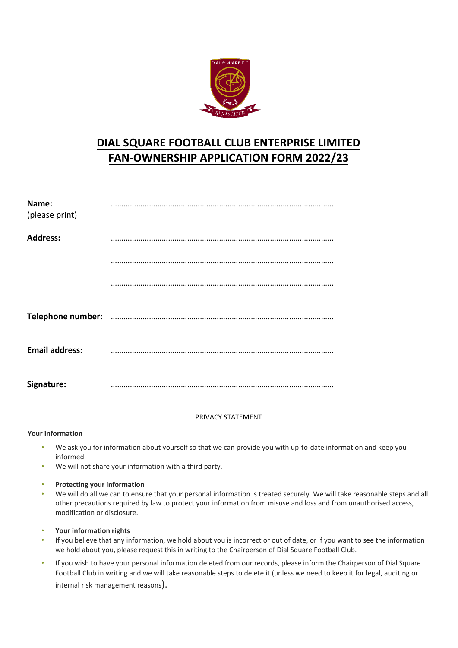

## **DIAL SQUARE FOOTBALL CLUB ENTERPRISE LIMITED FAN-OWNERSHIP APPLICATION FORM 2022/23**

| Name:<br>(please print) |  |
|-------------------------|--|
| <b>Address:</b>         |  |
|                         |  |
|                         |  |
|                         |  |
| <b>Email address:</b>   |  |
| Signature:              |  |

## PRIVACY STATEMENT

## **Your information**

- We ask you for information about yourself so that we can provide you with up-to-date information and keep you informed.
- We will not share your information with a third party.
- **Protecting your information**
- We will do all we can to ensure that your personal information is treated securely. We will take reasonable steps and all other precautions required by law to protect your information from misuse and loss and from unauthorised access, modification or disclosure.
- **Your information rights**
- If you believe that any information, we hold about you is incorrect or out of date, or if you want to see the information we hold about you, please request this in writing to the Chairperson of Dial Square Football Club.
- If you wish to have your personal information deleted from our records, please inform the Chairperson of Dial Square Football Club in writing and we will take reasonable steps to delete it (unless we need to keep it for legal, auditing or internal risk management reasons).